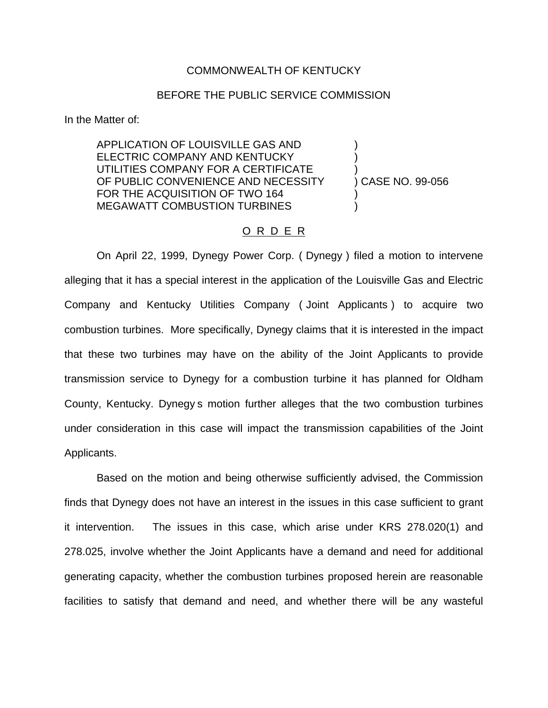## COMMONWEALTH OF KENTUCKY

## BEFORE THE PUBLIC SERVICE COMMISSION

In the Matter of:

APPLICATION OF LOUISVILLE GAS AND ) ELECTRIC COMPANY AND KENTUCKY UTILITIES COMPANY FOR A CERTIFICATE OF PUBLIC CONVENIENCE AND NECESSITY (CASE NO. 99-056) FOR THE ACQUISITION OF TWO 164 MEGAWATT COMBUSTION TURBINES

## O R D E R

On April 22, 1999, Dynegy Power Corp. ( Dynegy ) filed a motion to intervene alleging that it has a special interest in the application of the Louisville Gas and Electric Company and Kentucky Utilities Company ( Joint Applicants ) to acquire two combustion turbines. More specifically, Dynegy claims that it is interested in the impact that these two turbines may have on the ability of the Joint Applicants to provide transmission service to Dynegy for a combustion turbine it has planned for Oldham County, Kentucky. Dynegy s motion further alleges that the two combustion turbines under consideration in this case will impact the transmission capabilities of the Joint Applicants.

Based on the motion and being otherwise sufficiently advised, the Commission finds that Dynegy does not have an interest in the issues in this case sufficient to grant it intervention. The issues in this case, which arise under KRS 278.020(1) and 278.025, involve whether the Joint Applicants have a demand and need for additional generating capacity, whether the combustion turbines proposed herein are reasonable facilities to satisfy that demand and need, and whether there will be any wasteful